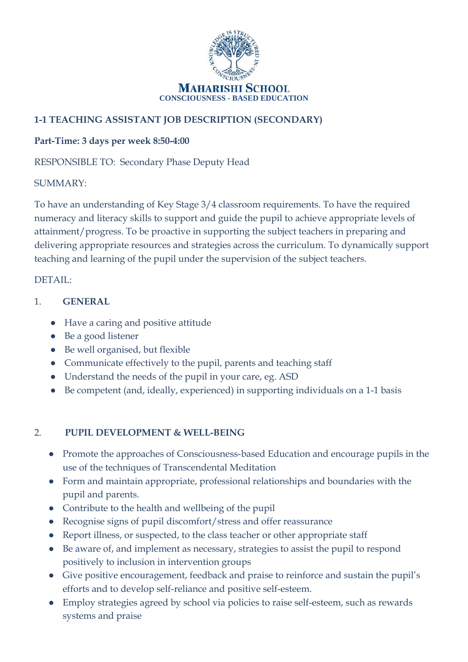

# **1-1 TEACHING ASSISTANT JOB DESCRIPTION (SECONDARY)**

### **Part-Time: 3 days per week 8:50-4:00**

RESPONSIBLE TO: Secondary Phase Deputy Head

#### SUMMARY:

To have an understanding of Key Stage 3/4 classroom requirements. To have the required numeracy and literacy skills to support and guide the pupil to achieve appropriate levels of attainment/progress. To be proactive in supporting the subject teachers in preparing and delivering appropriate resources and strategies across the curriculum. To dynamically support teaching and learning of the pupil under the supervision of the subject teachers.

### DETAIL:

- 1. **GENERAL**
	- Have a caring and positive attitude
	- Be a good listener
	- Be well organised, but flexible
	- Communicate effectively to the pupil, parents and teaching staff
	- Understand the needs of the pupil in your care, eg. ASD
	- Be competent (and, ideally, experienced) in supporting individuals on a 1-1 basis

# 2. **PUPIL DEVELOPMENT & WELL-BEING**

- Promote the approaches of Consciousness-based Education and encourage pupils in the use of the techniques of Transcendental Meditation
- Form and maintain appropriate, professional relationships and boundaries with the pupil and parents.
- Contribute to the health and wellbeing of the pupil
- Recognise signs of pupil discomfort/stress and offer reassurance
- Report illness, or suspected, to the class teacher or other appropriate staff
- Be aware of, and implement as necessary, strategies to assist the pupil to respond positively to inclusion in intervention groups
- Give positive encouragement, feedback and praise to reinforce and sustain the pupil's efforts and to develop self-reliance and positive self-esteem.
- Employ strategies agreed by school via policies to raise self-esteem, such as rewards systems and praise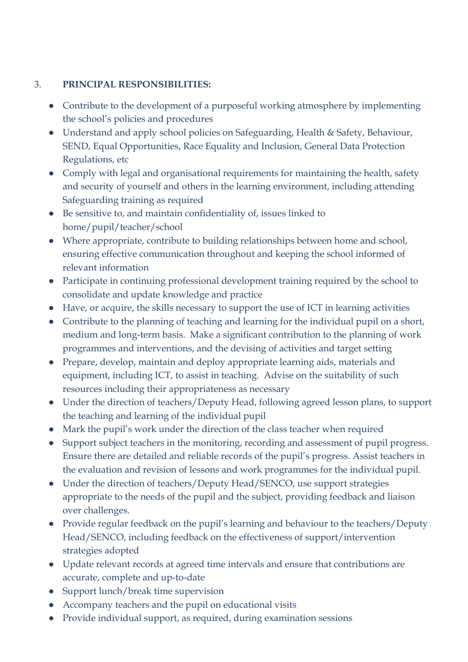## 3. **PRINCIPAL RESPONSIBILITIES:**

- Contribute to the development of a purposeful working atmosphere by implementing the school's policies and procedures
- Understand and apply school policies on Safeguarding, Health & Safety, Behaviour, SEND, Equal Opportunities, Race Equality and Inclusion, General Data Protection Regulations, etc
- Comply with legal and organisational requirements for maintaining the health, safety and security of yourself and others in the learning environment, including attending Safeguarding training as required
- Be sensitive to, and maintain confidentiality of, issues linked to home/pupil/teacher/school
- Where appropriate, contribute to building relationships between home and school, ensuring effective communication throughout and keeping the school informed of relevant information
- Participate in continuing professional development training required by the school to consolidate and update knowledge and practice
- Have, or acquire, the skills necessary to support the use of ICT in learning activities
- Contribute to the planning of teaching and learning for the individual pupil on a short, medium and long-term basis. Make a significant contribution to the planning of work programmes and interventions, and the devising of activities and target setting
- Prepare, develop, maintain and deploy appropriate learning aids, materials and equipment, including ICT, to assist in teaching. Advise on the suitability of such resources including their appropriateness as necessary
- Under the direction of teachers/Deputy Head, following agreed lesson plans, to support the teaching and learning of the individual pupil
- Mark the pupil's work under the direction of the class teacher when required
- Support subject teachers in the monitoring, recording and assessment of pupil progress. Ensure there are detailed and reliable records of the pupil's progress. Assist teachers in the evaluation and revision of lessons and work programmes for the individual pupil.
- Under the direction of teachers/Deputy Head/SENCO, use support strategies appropriate to the needs of the pupil and the subject, providing feedback and liaison over challenges.
- Provide regular feedback on the pupil's learning and behaviour to the teachers/Deputy Head/SENCO, including feedback on the effectiveness of support/intervention strategies adopted
- Update relevant records at agreed time intervals and ensure that contributions are accurate, complete and up-to-date
- Support lunch/break time supervision
- Accompany teachers and the pupil on educational visits
- Provide individual support, as required, during examination sessions